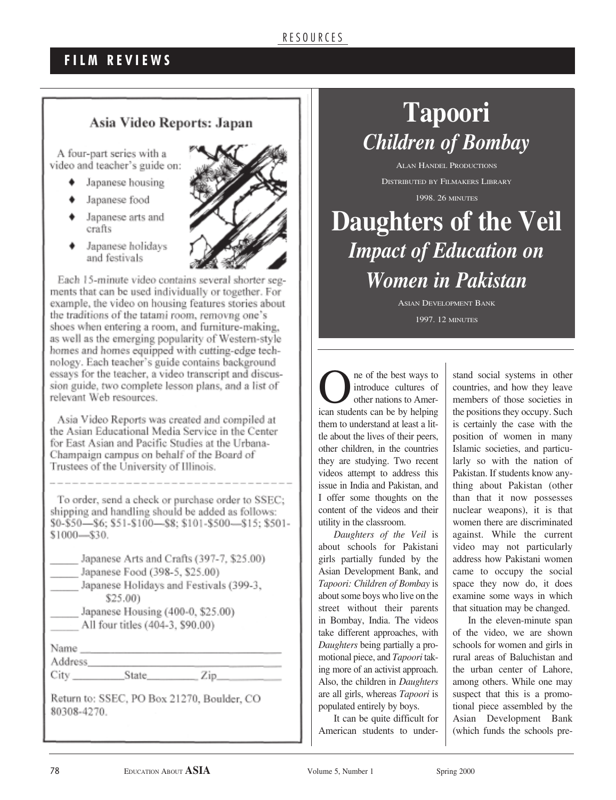### **F I L M R E V I E W S**

#### Asia Video Reports: Japan

A four-part series with a video and teacher's guide on:

- Japanese housing
- Japanese food
- Japanese arts and crafts
- Japanese holidays and festivals



Each 15-minute video contains several shorter segments that can be used individually or together. For example, the video on housing features stories about the traditions of the tatami room, removng one's shoes when entering a room, and furniture-making, as well as the emerging popularity of Western-style homes and homes equipped with cutting-edge technology. Each teacher's guide contains background essays for the teacher, a video transcript and discussion guide, two complete lesson plans, and a list of relevant Web resources.

Asia Video Reports was created and compiled at the Asian Educational Media Service in the Center for East Asian and Pacific Studies at the Urbana-Champaign campus on behalf of the Board of Trustees of the University of Illinois.

To order, send a check or purchase order to SSEC; shipping and handling should be added as follows: \$0-\$50-\$6; \$51-\$100-\$8; \$101-\$500-\$15; \$501-\$1000-\$30.

| Japanese Arts and Crafts (397-7, \$25.00) |
|-------------------------------------------|
| Japanese Food (398-5, \$25.00)            |
| Japanese Holidays and Festivals (399-3,   |
| \$25.00)                                  |
| Japanese Housing (400-0, \$25.00)         |
| All four titles (404-3, \$90.00)          |

City State Zip

Return to: SSEC, PO Box 21270, Boulder, CO 80308-4270.

# **Tapoori**  *Children of Bombay*

ALAN HANDEL PRODUCTIONS DISTRIBUTED BY FILMAKERS LIBRARY

1998. 26 MINUTES

# **Daughters of the Veil** *Impact of Education on Women in Pakistan*

ASIAN DEVELOPMENT BANK 1997. 12 MINUTES

One of the best ways to<br>
introduce cultures of<br>
other nations to Amer-<br>
ison students on he by helping introduce cultures of ican students can be by helping them to understand at least a little about the lives of their peers, other children, in the countries they are studying. Two recent videos attempt to address this issue in India and Pakistan, and I offer some thoughts on the content of the videos and their utility in the classroom.

*Daughters of the Veil* is about schools for Pakistani girls partially funded by the Asian Development Bank, and *Tapoori: Children of Bombay* is about some boys who live on the street without their parents in Bombay, India. The videos take different approaches, with *Daughters* being partially a promotional piece, and *Tapoori* taking more of an activist approach. Also, the children in *Daughters* are all girls, whereas *Tapoori* is populated entirely by boys.

It can be quite difficult for American students to under-

stand social systems in other countries, and how they leave members of those societies in the positions they occupy. Such is certainly the case with the position of women in many Islamic societies, and particularly so with the nation of Pakistan. If students know anything about Pakistan (other than that it now possesses nuclear weapons), it is that women there are discriminated against. While the current video may not particularly address how Pakistani women came to occupy the social space they now do, it does examine some ways in which that situation may be changed.

In the eleven-minute span of the video, we are shown schools for women and girls in rural areas of Baluchistan and the urban center of Lahore, among others. While one may suspect that this is a promotional piece assembled by the Asian Development Bank (which funds the schools pre-